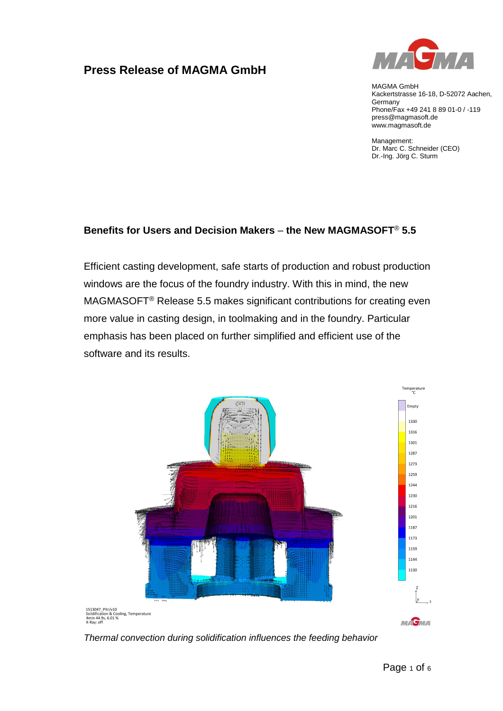# **Press Release of MAGMA GmbH**



MAGMA GmbH Kackertstrasse 16-18, D-52072 Aachen, **Germany** Phone/Fax +49 241 8 89 01-0 / -119 press@magmasoft.de www.magmasoft.de

Management: Dr. Marc C. Schneider (CEO) Dr.-Ing. Jörg C. Sturm

#### **Benefits for Users and Decision Makers** – **the New MAGMASOFT**® **5.5**

Efficient casting development, safe starts of production and robust production windows are the focus of the foundry industry. With this in mind, the new MAGMASOFT® Release 5.5 makes significant contributions for creating even more value in casting design, in toolmaking and in the foundry. Particular emphasis has been placed on further simplified and efficient use of the software and its results.



*Thermal convection during solidification influences the feeding behavior*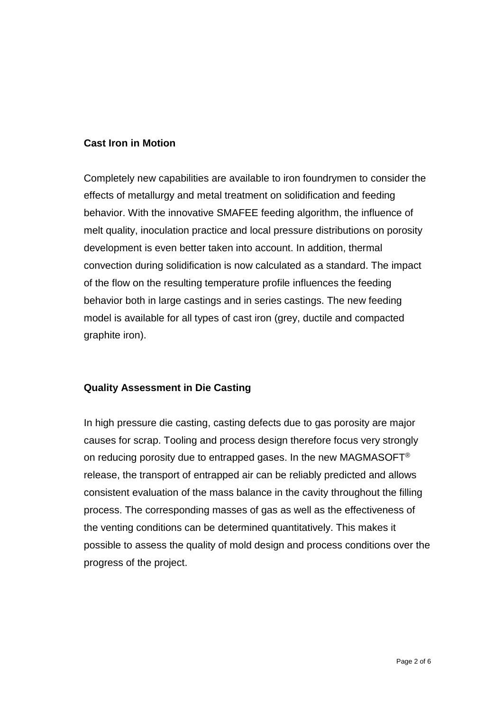#### **Cast Iron in Motion**

Completely new capabilities are available to iron foundrymen to consider the effects of metallurgy and metal treatment on solidification and feeding behavior. With the innovative SMAFEE feeding algorithm, the influence of melt quality, inoculation practice and local pressure distributions on porosity development is even better taken into account. In addition, thermal convection during solidification is now calculated as a standard. The impact of the flow on the resulting temperature profile influences the feeding behavior both in large castings and in series castings. The new feeding model is available for all types of cast iron (grey, ductile and compacted graphite iron).

#### **Quality Assessment in Die Casting**

In high pressure die casting, casting defects due to gas porosity are major causes for scrap. Tooling and process design therefore focus very strongly on reducing porosity due to entrapped gases. In the new MAGMASOFT<sup>®</sup> release, the transport of entrapped air can be reliably predicted and allows consistent evaluation of the mass balance in the cavity throughout the filling process. The corresponding masses of gas as well as the effectiveness of the venting conditions can be determined quantitatively. This makes it possible to assess the quality of mold design and process conditions over the progress of the project.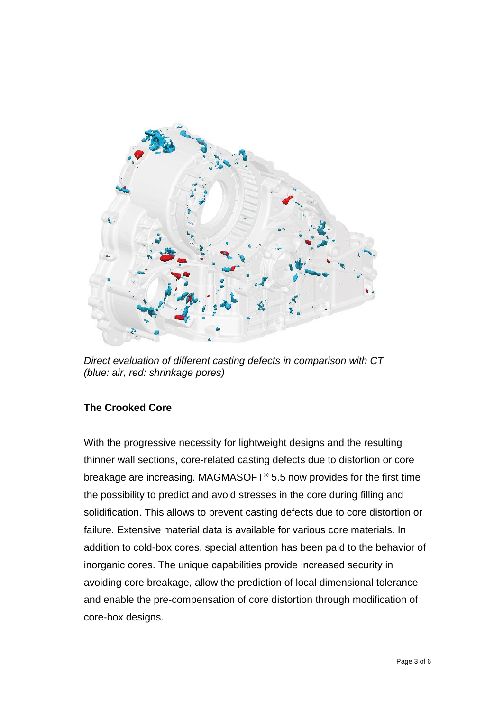

*Direct evaluation of different casting defects in comparison with CT (blue: air, red: shrinkage pores)*

## **The Crooked Core**

With the progressive necessity for lightweight designs and the resulting thinner wall sections, core-related casting defects due to distortion or core breakage are increasing. MAGMASOFT® 5.5 now provides for the first time the possibility to predict and avoid stresses in the core during filling and solidification. This allows to prevent casting defects due to core distortion or failure. Extensive material data is available for various core materials. In addition to cold-box cores, special attention has been paid to the behavior of inorganic cores. The unique capabilities provide increased security in avoiding core breakage, allow the prediction of local dimensional tolerance and enable the pre-compensation of core distortion through modification of core-box designs.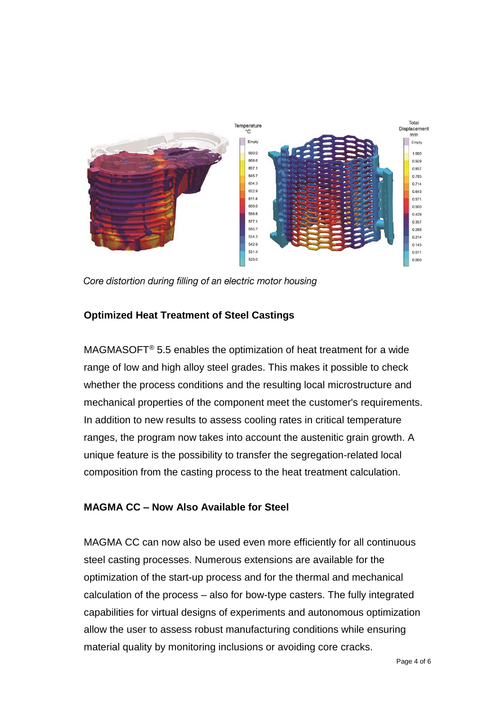

Core distortion during filling of an electric motor housing

## **Optimized Heat Treatment of Steel Castings**

MAGMASOFT<sup>®</sup> 5.5 enables the optimization of heat treatment for a wide range of low and high alloy steel grades. This makes it possible to check whether the process conditions and the resulting local microstructure and mechanical properties of the component meet the customer's requirements. In addition to new results to assess cooling rates in critical temperature ranges, the program now takes into account the austenitic grain growth. A unique feature is the possibility to transfer the segregation-related local composition from the casting process to the heat treatment calculation.

## **MAGMA CC – Now Also Available for Steel**

MAGMA CC can now also be used even more efficiently for all continuous steel casting processes. Numerous extensions are available for the optimization of the start-up process and for the thermal and mechanical calculation of the process – also for bow-type casters. The fully integrated capabilities for virtual designs of experiments and autonomous optimization allow the user to assess robust manufacturing conditions while ensuring material quality by monitoring inclusions or avoiding core cracks.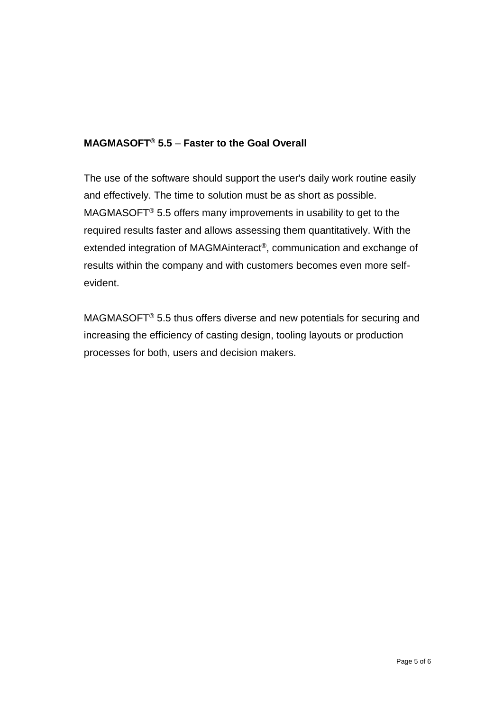# **MAGMASOFT® 5.5** – **Faster to the Goal Overall**

The use of the software should support the user's daily work routine easily and effectively. The time to solution must be as short as possible. MAGMASOFT® 5.5 offers many improvements in usability to get to the required results faster and allows assessing them quantitatively. With the extended integration of MAGMAinteract®, communication and exchange of results within the company and with customers becomes even more selfevident.

MAGMASOFT® 5.5 thus offers diverse and new potentials for securing and increasing the efficiency of casting design, tooling layouts or production processes for both, users and decision makers.